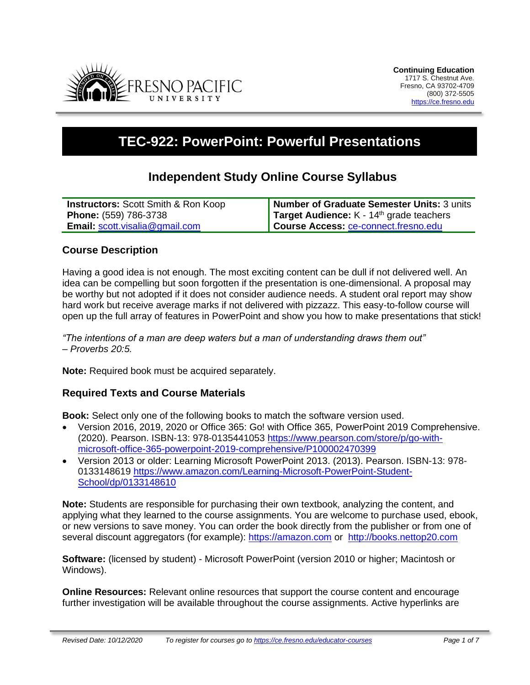

# **TEC-922: PowerPoint: Powerful Presentations**

# **Independent Study Online Course Syllabus**

| <b>Instructors:</b> Scott Smith & Ron Koop | Number of Graduate Semester Units: 3 units           |
|--------------------------------------------|------------------------------------------------------|
| <b>Phone:</b> (559) 786-3738               | Target Audience: K - 14 <sup>th</sup> grade teachers |
| <b>Email: scott.visalia@gmail.com</b>      | Course Access: ce-connect.fresno.edu                 |

### **Course Description**

Having a good idea is not enough. The most exciting content can be dull if not delivered well. An idea can be compelling but soon forgotten if the presentation is one-dimensional. A proposal may be worthy but not adopted if it does not consider audience needs. A student oral report may show hard work but receive average marks if not delivered with pizzazz. This easy-to-follow course will open up the full array of features in PowerPoint and show you how to make presentations that stick!

*"The intentions of a man are deep waters but a man of understanding draws them out" – Proverbs 20:5.* 

**Note:** Required book must be acquired separately.

### **Required Texts and Course Materials**

**Book:** Select only one of the following books to match the software version used.

- Version 2016, 2019, 2020 or Office 365: [Go! with Office 365, PowerPoint 2019 Comprehensive.](https://www.pearson.com/store/p/go-with-microsoft-office-365-powerpoint-2019-comprehensive/P100002470399) (2020). Pearson. ISBN-13: 978-0135441053 [https://www.pearson.com/store/p/go-with](https://www.pearson.com/store/p/go-with-microsoft-office-365-powerpoint-2019-comprehensive/P100002470399)[microsoft-office-365-powerpoint-2019-comprehensive/P100002470399](https://www.pearson.com/store/p/go-with-microsoft-office-365-powerpoint-2019-comprehensive/P100002470399)
- Version 2013 or older: Learning Microsoft PowerPoint 2013. (2013). Pearson. ISBN-13: 978- 0133148619 [https://www.amazon.com/Learning-Microsoft-PowerPoint-Student-](https://www.amazon.com/Learning-Microsoft-PowerPoint-Student-School/dp/0133148610)[School/dp/0133148610](https://www.amazon.com/Learning-Microsoft-PowerPoint-Student-School/dp/0133148610)

**Note:** Students are responsible for purchasing their own textbook, analyzing the content, and applying what they learned to the course assignments. You are welcome to purchase used, ebook, or new versions to save money. You can order the book directly from the publisher or from one of several discount aggregators (for example): [https://amazon.com](https://amazon.com/) or [http://books.nettop20.com](http://books.nettop20.com/)

**Software:** (licensed by student) - Microsoft PowerPoint (version 2010 or higher; Macintosh or Windows).

**Online Resources:** Relevant online resources that support the course content and encourage further investigation will be available throughout the course assignments. Active hyperlinks are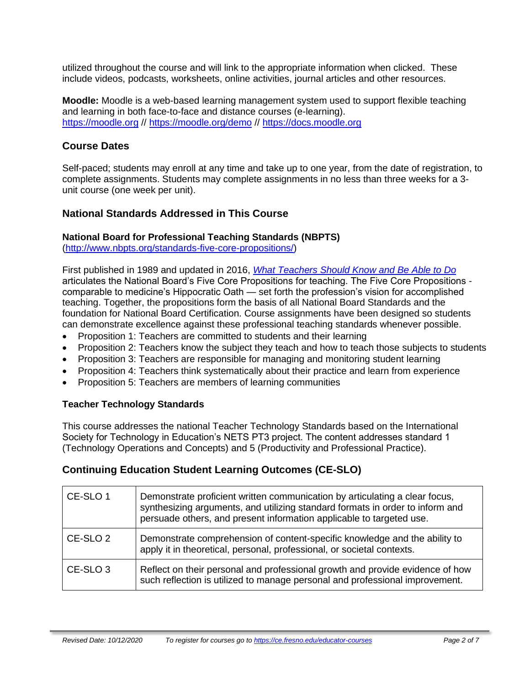utilized throughout the course and will link to the appropriate information when clicked. These include videos, podcasts, worksheets, online activities, journal articles and other resources.

**Moodle:** Moodle is a web-based learning management system used to support flexible teaching and learning in both face-to-face and distance courses (e-learning). [https://moodle.org](https://moodle.org/) // <https://moodle.org/demo> // [https://docs.moodle.org](https://docs.moodle.org/)

### **Course Dates**

Self-paced; students may enroll at any time and take up to one year, from the date of registration, to complete assignments. Students may complete assignments in no less than three weeks for a 3 unit course (one week per unit).

### **National Standards Addressed in This Course**

### **National Board for Professional Teaching Standards (NBPTS)**

[\(http://www.nbpts.org/standards-five-core-propositions/\)](http://www.nbpts.org/standards-five-core-propositions/)

First published in 1989 and updated in 2016, *[What Teachers Should Know and Be Able to Do](http://www.accomplishedteacher.org/)* articulates the National Board's Five Core Propositions for teaching. The Five Core Propositions comparable to medicine's Hippocratic Oath — set forth the profession's vision for accomplished teaching. Together, the propositions form the basis of all National Board Standards and the foundation for National Board Certification. Course assignments have been designed so students can demonstrate excellence against these professional teaching standards whenever possible.

- Proposition 1: Teachers are committed to students and their learning
- Proposition 2: Teachers know the subject they teach and how to teach those subjects to students
- Proposition 3: Teachers are responsible for managing and monitoring student learning
- Proposition 4: Teachers think systematically about their practice and learn from experience
- Proposition 5: Teachers are members of learning communities

### **Teacher Technology Standards**

This course addresses the national Teacher Technology Standards based on the International Society for Technology in Education's NETS PT3 project. The content addresses standard 1 (Technology Operations and Concepts) and 5 (Productivity and Professional Practice).

# **Continuing Education Student Learning Outcomes (CE-SLO)**

| CE-SLO 1            | Demonstrate proficient written communication by articulating a clear focus,<br>synthesizing arguments, and utilizing standard formats in order to inform and<br>persuade others, and present information applicable to targeted use. |  |
|---------------------|--------------------------------------------------------------------------------------------------------------------------------------------------------------------------------------------------------------------------------------|--|
| CE-SLO <sub>2</sub> | Demonstrate comprehension of content-specific knowledge and the ability to<br>apply it in theoretical, personal, professional, or societal contexts.                                                                                 |  |
| CE-SLO <sub>3</sub> | Reflect on their personal and professional growth and provide evidence of how<br>such reflection is utilized to manage personal and professional improvement.                                                                        |  |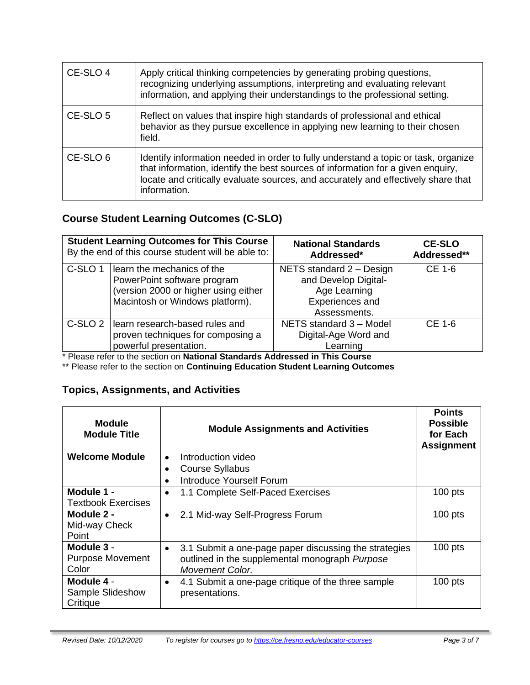| CE-SLO 4 | Apply critical thinking competencies by generating probing questions,<br>recognizing underlying assumptions, interpreting and evaluating relevant<br>information, and applying their understandings to the professional setting.                                           |
|----------|----------------------------------------------------------------------------------------------------------------------------------------------------------------------------------------------------------------------------------------------------------------------------|
| CE-SLO 5 | Reflect on values that inspire high standards of professional and ethical<br>behavior as they pursue excellence in applying new learning to their chosen<br>field.                                                                                                         |
| CE-SLO 6 | Identify information needed in order to fully understand a topic or task, organize<br>that information, identify the best sources of information for a given enquiry,<br>locate and critically evaluate sources, and accurately and effectively share that<br>information. |

# **Course Student Learning Outcomes (C-SLO)**

| <b>Student Learning Outcomes for This Course</b><br>By the end of this course student will be able to: |                                                                                                                                      | <b>National Standards</b><br>Addressed*                                                             | <b>CE-SLO</b><br>Addressed** |
|--------------------------------------------------------------------------------------------------------|--------------------------------------------------------------------------------------------------------------------------------------|-----------------------------------------------------------------------------------------------------|------------------------------|
| C-SLO <sub>1</sub>                                                                                     | learn the mechanics of the<br>PowerPoint software program<br>(version 2000 or higher using either<br>Macintosh or Windows platform). | NETS standard 2 - Design<br>and Develop Digital-<br>Age Learning<br>Experiences and<br>Assessments. | CE 1-6                       |
| C-SLO <sub>2</sub>                                                                                     | learn research-based rules and<br>proven techniques for composing a<br>powerful presentation.                                        | NETS standard 3 - Model<br>Digital-Age Word and<br>Learning                                         | CE 1-6                       |

\* Please refer to the section on **National Standards Addressed in This Course**

\*\* Please refer to the section on **Continuing Education Student Learning Outcomes**

# **Topics, Assignments, and Activities**

| <b>Module</b><br><b>Module Title</b>              | <b>Module Assignments and Activities</b>                                          | <b>Points</b><br><b>Possible</b><br>for Each<br><b>Assignment</b> |
|---------------------------------------------------|-----------------------------------------------------------------------------------|-------------------------------------------------------------------|
| <b>Welcome Module</b>                             | Introduction video                                                                |                                                                   |
|                                                   | <b>Course Syllabus</b>                                                            |                                                                   |
|                                                   | Introduce Yourself Forum                                                          |                                                                   |
| Module 1 -                                        | 1.1 Complete Self-Paced Exercises                                                 | $100$ pts                                                         |
| <b>Textbook Exercises</b>                         |                                                                                   |                                                                   |
| Module 2 -                                        | 2.1 Mid-way Self-Progress Forum<br>$\bullet$                                      | $100$ pts                                                         |
| Mid-way Check                                     |                                                                                   |                                                                   |
| Point                                             |                                                                                   |                                                                   |
| Module 3 -                                        | 3.1 Submit a one-page paper discussing the strategies                             | $100$ pts                                                         |
| <b>Purpose Movement</b>                           | outlined in the supplemental monograph Purpose                                    |                                                                   |
| Color                                             | <b>Movement Color.</b>                                                            |                                                                   |
| Module 4 -<br><b>Sample Slideshow</b><br>Critique | 4.1 Submit a one-page critique of the three sample<br>$\bullet$<br>presentations. | $100$ pts                                                         |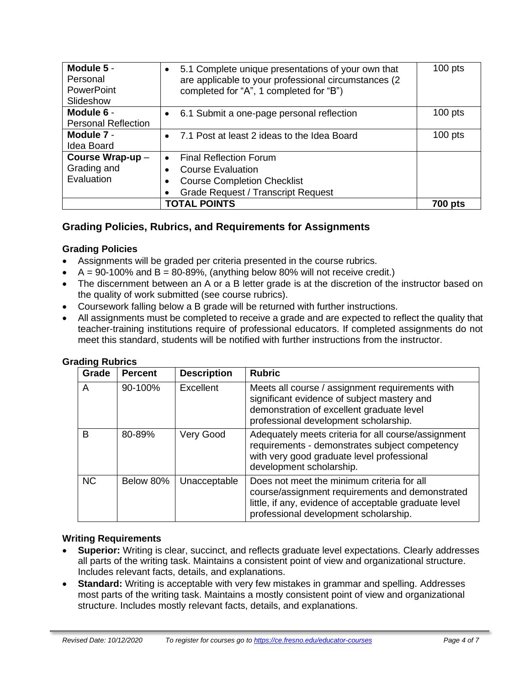| Module 5 -<br>Personal<br><b>PowerPoint</b><br>Slideshow | 5.1 Complete unique presentations of your own that<br>are applicable to your professional circumstances (2)<br>completed for "A", 1 completed for "B") | $100$ pts |
|----------------------------------------------------------|--------------------------------------------------------------------------------------------------------------------------------------------------------|-----------|
| Module 6 -<br><b>Personal Reflection</b>                 | 6.1 Submit a one-page personal reflection<br>$\bullet$                                                                                                 | $100$ pts |
|                                                          |                                                                                                                                                        |           |
| Module 7 -                                               | 7.1 Post at least 2 ideas to the Idea Board<br>$\bullet$                                                                                               | $100$ pts |
| Idea Board                                               |                                                                                                                                                        |           |
| Course Wrap-up-                                          | <b>Final Reflection Forum</b><br>$\bullet$                                                                                                             |           |
| Grading and                                              | <b>Course Evaluation</b>                                                                                                                               |           |
| Evaluation                                               | <b>Course Completion Checklist</b>                                                                                                                     |           |
|                                                          | <b>Grade Request / Transcript Request</b>                                                                                                              |           |
| <b>TOTAL POINTS</b>                                      |                                                                                                                                                        | 700 pts   |

### **Grading Policies, Rubrics, and Requirements for Assignments**

### **Grading Policies**

- Assignments will be graded per criteria presented in the course rubrics.
- $\bullet$  A = 90-100% and B = 80-89%, (anything below 80% will not receive credit.)
- The discernment between an A or a B letter grade is at the discretion of the instructor based on the quality of work submitted (see course rubrics).
- Coursework falling below a B grade will be returned with further instructions.
- All assignments must be completed to receive a grade and are expected to reflect the quality that teacher-training institutions require of professional educators. If completed assignments do not meet this standard, students will be notified with further instructions from the instructor.

| Grade     | <b>Percent</b> | <b>Description</b> | <b>Rubric</b>                                                                                                                                                                                   |
|-----------|----------------|--------------------|-------------------------------------------------------------------------------------------------------------------------------------------------------------------------------------------------|
| A         | 90-100%        | Excellent          | Meets all course / assignment requirements with<br>significant evidence of subject mastery and<br>demonstration of excellent graduate level<br>professional development scholarship.            |
| B         | 80-89%         | Very Good          | Adequately meets criteria for all course/assignment<br>requirements - demonstrates subject competency<br>with very good graduate level professional<br>development scholarship.                 |
| <b>NC</b> | Below 80%      | Unacceptable       | Does not meet the minimum criteria for all<br>course/assignment requirements and demonstrated<br>little, if any, evidence of acceptable graduate level<br>professional development scholarship. |

#### **Grading Rubrics**

#### **Writing Requirements**

- **Superior:** Writing is clear, succinct, and reflects graduate level expectations. Clearly addresses all parts of the writing task. Maintains a consistent point of view and organizational structure. Includes relevant facts, details, and explanations.
- **Standard:** Writing is acceptable with very few mistakes in grammar and spelling. Addresses most parts of the writing task. Maintains a mostly consistent point of view and organizational structure. Includes mostly relevant facts, details, and explanations.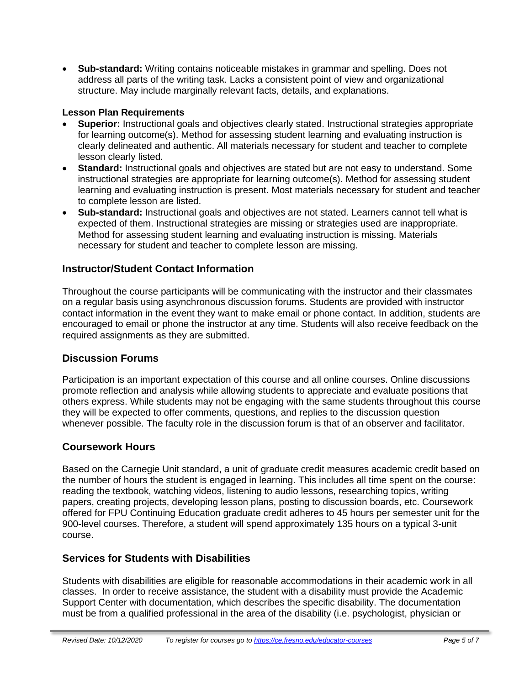• **Sub-standard:** Writing contains noticeable mistakes in grammar and spelling. Does not address all parts of the writing task. Lacks a consistent point of view and organizational structure. May include marginally relevant facts, details, and explanations.

### **Lesson Plan Requirements**

- **Superior:** Instructional goals and objectives clearly stated. Instructional strategies appropriate for learning outcome(s). Method for assessing student learning and evaluating instruction is clearly delineated and authentic. All materials necessary for student and teacher to complete lesson clearly listed.
- **Standard:** Instructional goals and objectives are stated but are not easy to understand. Some instructional strategies are appropriate for learning outcome(s). Method for assessing student learning and evaluating instruction is present. Most materials necessary for student and teacher to complete lesson are listed.
- **Sub-standard:** Instructional goals and objectives are not stated. Learners cannot tell what is expected of them. Instructional strategies are missing or strategies used are inappropriate. Method for assessing student learning and evaluating instruction is missing. Materials necessary for student and teacher to complete lesson are missing.

### **Instructor/Student Contact Information**

Throughout the course participants will be communicating with the instructor and their classmates on a regular basis using asynchronous discussion forums. Students are provided with instructor contact information in the event they want to make email or phone contact. In addition, students are encouraged to email or phone the instructor at any time. Students will also receive feedback on the required assignments as they are submitted.

### **Discussion Forums**

Participation is an important expectation of this course and all online courses. Online discussions promote reflection and analysis while allowing students to appreciate and evaluate positions that others express. While students may not be engaging with the same students throughout this course they will be expected to offer comments, questions, and replies to the discussion question whenever possible. The faculty role in the discussion forum is that of an observer and facilitator.

### **Coursework Hours**

Based on the Carnegie Unit standard, a unit of graduate credit measures academic credit based on the number of hours the student is engaged in learning. This includes all time spent on the course: reading the textbook, watching videos, listening to audio lessons, researching topics, writing papers, creating projects, developing lesson plans, posting to discussion boards, etc. Coursework offered for FPU Continuing Education graduate credit adheres to 45 hours per semester unit for the 900-level courses. Therefore, a student will spend approximately 135 hours on a typical 3-unit course.

# **Services for Students with Disabilities**

Students with disabilities are eligible for reasonable accommodations in their academic work in all classes. In order to receive assistance, the student with a disability must provide the Academic Support Center with documentation, which describes the specific disability. The documentation must be from a qualified professional in the area of the disability (i.e. psychologist, physician or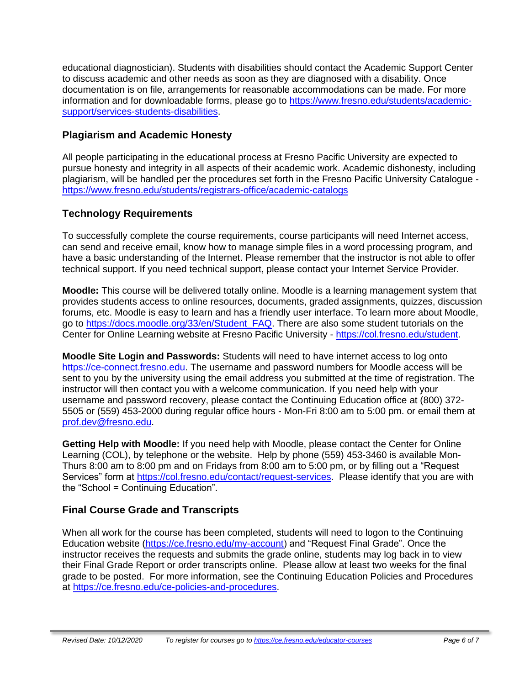educational diagnostician). Students with disabilities should contact the Academic Support Center to discuss academic and other needs as soon as they are diagnosed with a disability. Once documentation is on file, arrangements for reasonable accommodations can be made. For more information and for downloadable forms, please go to [https://www.fresno.edu/students/academic](https://www.fresno.edu/students/academic-support/services-students-disabilities)[support/services-students-disabilities.](https://www.fresno.edu/students/academic-support/services-students-disabilities)

### **Plagiarism and Academic Honesty**

All people participating in the educational process at Fresno Pacific University are expected to pursue honesty and integrity in all aspects of their academic work. Academic dishonesty, including plagiarism, will be handled per the procedures set forth in the Fresno Pacific University Catalogue <https://www.fresno.edu/students/registrars-office/academic-catalogs>

# **Technology Requirements**

To successfully complete the course requirements, course participants will need Internet access, can send and receive email, know how to manage simple files in a word processing program, and have a basic understanding of the Internet. Please remember that the instructor is not able to offer technical support. If you need technical support, please contact your Internet Service Provider.

**Moodle:** This course will be delivered totally online. Moodle is a learning management system that provides students access to online resources, documents, graded assignments, quizzes, discussion forums, etc. Moodle is easy to learn and has a friendly user interface. To learn more about Moodle, go to [https://docs.moodle.org/33/en/Student\\_FAQ.](https://docs.moodle.org/33/en/Student_FAQ) There are also some student tutorials on the Center for Online Learning website at Fresno Pacific University - [https://col.fresno.edu/student.](https://col.fresno.edu/student)

**Moodle Site Login and Passwords:** Students will need to have internet access to log onto [https://ce-connect.fresno.edu.](https://ce-connect.fresno.edu/) The username and password numbers for Moodle access will be sent to you by the university using the email address you submitted at the time of registration. The instructor will then contact you with a welcome communication. If you need help with your username and password recovery, please contact the Continuing Education office at (800) 372- 5505 or (559) 453-2000 during regular office hours - Mon-Fri 8:00 am to 5:00 pm. or email them at [prof.dev@fresno.edu.](mailto:prof.dev@fresno.edu)

**Getting Help with Moodle:** If you need help with Moodle, please contact the Center for Online Learning (COL), by telephone or the website. Help by phone (559) 453-3460 is available Mon-Thurs 8:00 am to 8:00 pm and on Fridays from 8:00 am to 5:00 pm, or by filling out a "Request Services" form at [https://col.fresno.edu/contact/request-services.](https://col.fresno.edu/contact/request-services) Please identify that you are with the "School = Continuing Education".

# **Final Course Grade and Transcripts**

When all work for the course has been completed, students will need to logon to the Continuing Education website [\(https://ce.fresno.edu/my-account\)](https://ce.fresno.edu/my-account) and "Request Final Grade". Once the instructor receives the requests and submits the grade online, students may log back in to view their Final Grade Report or order transcripts online. Please allow at least two weeks for the final grade to be posted. For more information, see the Continuing Education Policies and Procedures at [https://ce.fresno.edu/ce-policies-and-procedures.](https://ce.fresno.edu/ce-policies-and-procedures)